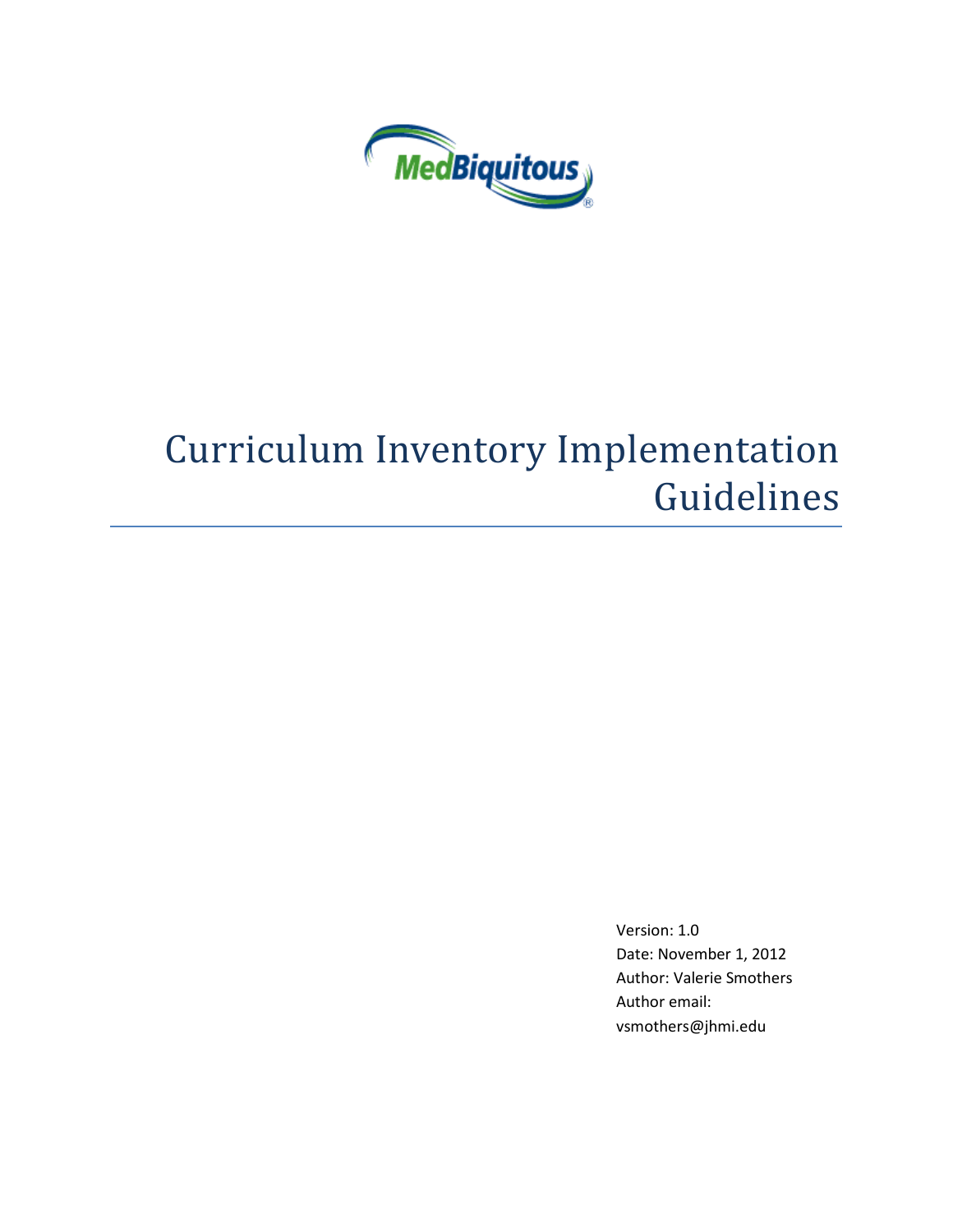

# Curriculum Inventory Implementation Guidelines

Version: 1.0 Date: November 1, 2012 Author: Valerie Smothers Author email: vsmothers@jhmi.edu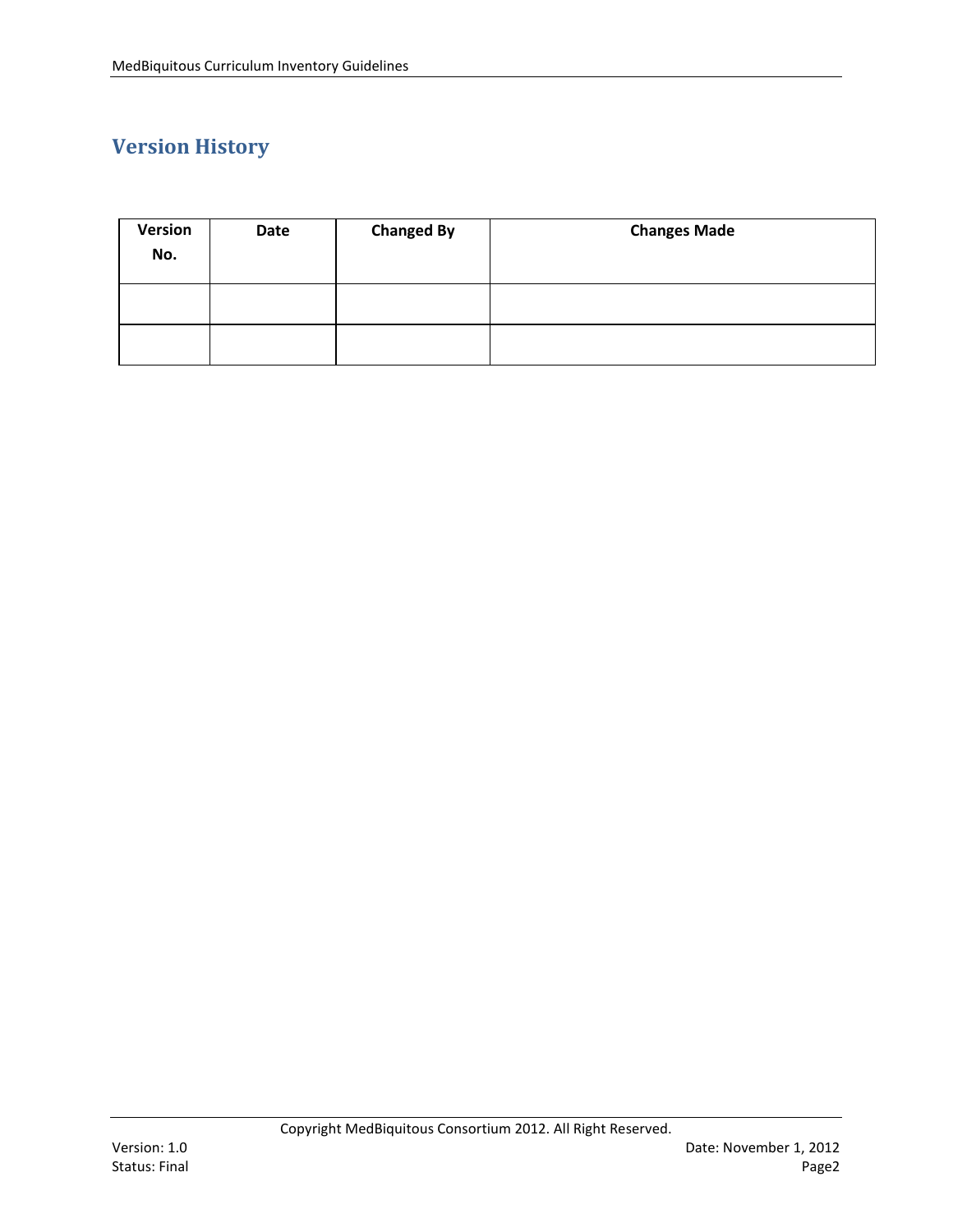# **Version History**

| Version<br>No. | Date | <b>Changed By</b> | <b>Changes Made</b> |
|----------------|------|-------------------|---------------------|
|                |      |                   |                     |
|                |      |                   |                     |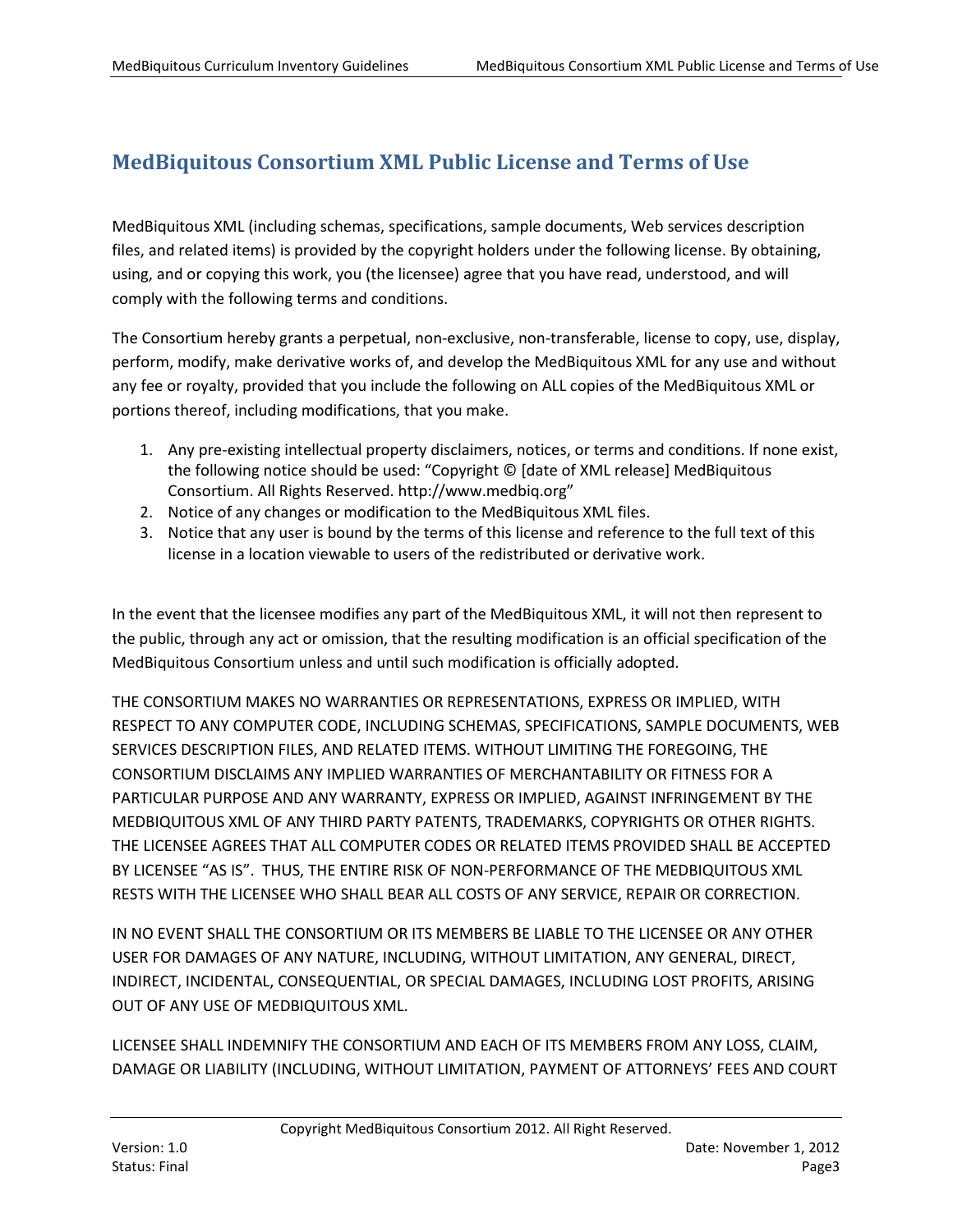# <span id="page-2-0"></span>**MedBiquitous Consortium XML Public License and Terms of Use**

MedBiquitous XML (including schemas, specifications, sample documents, Web services description files, and related items) is provided by the copyright holders under the following license. By obtaining, using, and or copying this work, you (the licensee) agree that you have read, understood, and will comply with the following terms and conditions.

The Consortium hereby grants a perpetual, non-exclusive, non-transferable, license to copy, use, display, perform, modify, make derivative works of, and develop the MedBiquitous XML for any use and without any fee or royalty, provided that you include the following on ALL copies of the MedBiquitous XML or portions thereof, including modifications, that you make.

- 1. Any pre-existing intellectual property disclaimers, notices, or terms and conditions. If none exist, the following notice should be used: "Copyright © [date of XML release] MedBiquitous Consortium. All Rights Reserved. http://www.medbiq.org"
- 2. Notice of any changes or modification to the MedBiquitous XML files.
- 3. Notice that any user is bound by the terms of this license and reference to the full text of this license in a location viewable to users of the redistributed or derivative work.

In the event that the licensee modifies any part of the MedBiquitous XML, it will not then represent to the public, through any act or omission, that the resulting modification is an official specification of the MedBiquitous Consortium unless and until such modification is officially adopted.

THE CONSORTIUM MAKES NO WARRANTIES OR REPRESENTATIONS, EXPRESS OR IMPLIED, WITH RESPECT TO ANY COMPUTER CODE, INCLUDING SCHEMAS, SPECIFICATIONS, SAMPLE DOCUMENTS, WEB SERVICES DESCRIPTION FILES, AND RELATED ITEMS. WITHOUT LIMITING THE FOREGOING, THE CONSORTIUM DISCLAIMS ANY IMPLIED WARRANTIES OF MERCHANTABILITY OR FITNESS FOR A PARTICULAR PURPOSE AND ANY WARRANTY, EXPRESS OR IMPLIED, AGAINST INFRINGEMENT BY THE MEDBIQUITOUS XML OF ANY THIRD PARTY PATENTS, TRADEMARKS, COPYRIGHTS OR OTHER RIGHTS. THE LICENSEE AGREES THAT ALL COMPUTER CODES OR RELATED ITEMS PROVIDED SHALL BE ACCEPTED BY LICENSEE "AS IS". THUS, THE ENTIRE RISK OF NON-PERFORMANCE OF THE MEDBIQUITOUS XML RESTS WITH THE LICENSEE WHO SHALL BEAR ALL COSTS OF ANY SERVICE, REPAIR OR CORRECTION.

IN NO EVENT SHALL THE CONSORTIUM OR ITS MEMBERS BE LIABLE TO THE LICENSEE OR ANY OTHER USER FOR DAMAGES OF ANY NATURE, INCLUDING, WITHOUT LIMITATION, ANY GENERAL, DIRECT, INDIRECT, INCIDENTAL, CONSEQUENTIAL, OR SPECIAL DAMAGES, INCLUDING LOST PROFITS, ARISING OUT OF ANY USE OF MEDBIQUITOUS XML.

LICENSEE SHALL INDEMNIFY THE CONSORTIUM AND EACH OF ITS MEMBERS FROM ANY LOSS, CLAIM, DAMAGE OR LIABILITY (INCLUDING, WITHOUT LIMITATION, PAYMENT OF ATTORNEYS' FEES AND COURT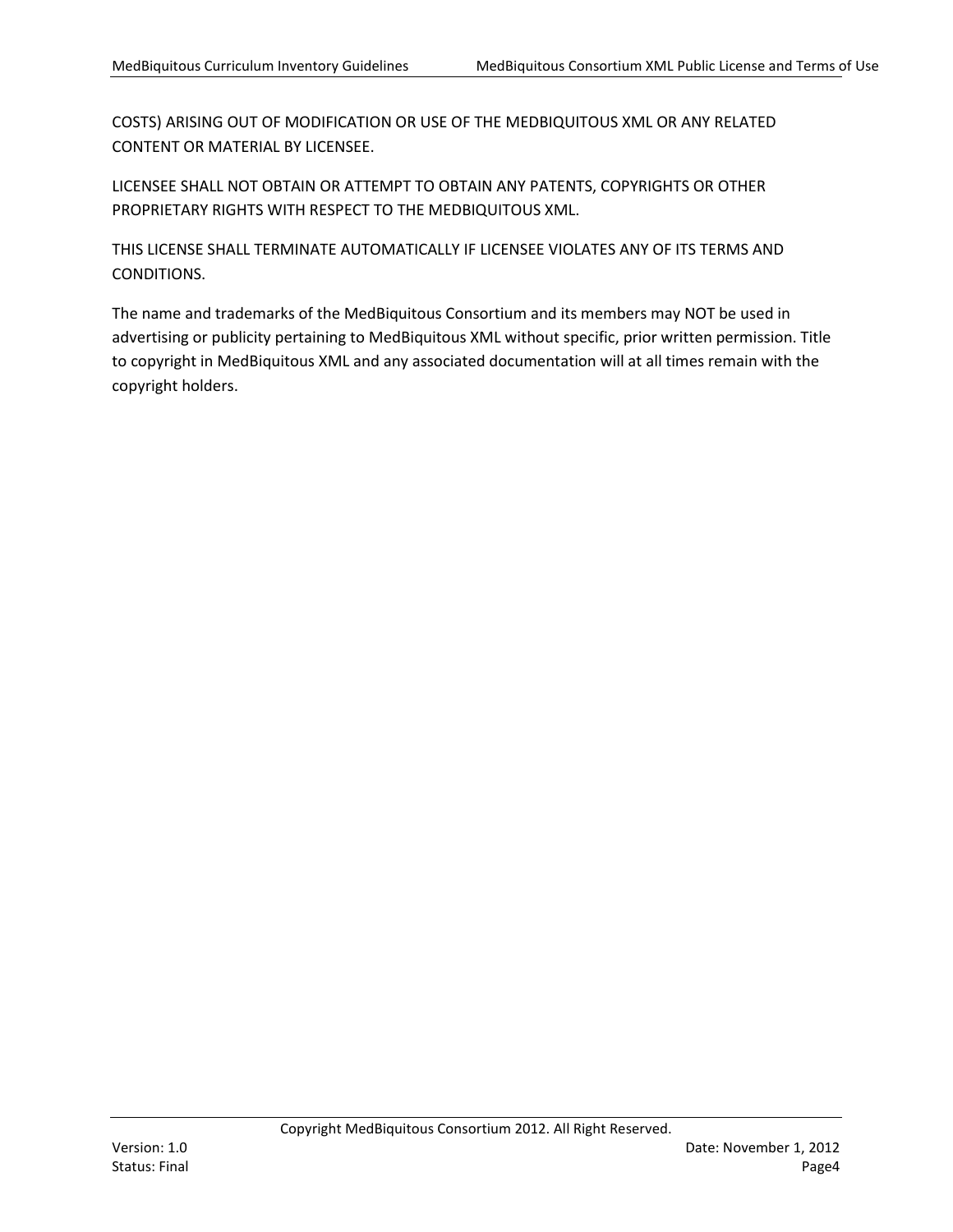COSTS) ARISING OUT OF MODIFICATION OR USE OF THE MEDBIQUITOUS XML OR ANY RELATED CONTENT OR MATERIAL BY LICENSEE.

LICENSEE SHALL NOT OBTAIN OR ATTEMPT TO OBTAIN ANY PATENTS, COPYRIGHTS OR OTHER PROPRIETARY RIGHTS WITH RESPECT TO THE MEDBIQUITOUS XML.

THIS LICENSE SHALL TERMINATE AUTOMATICALLY IF LICENSEE VIOLATES ANY OF ITS TERMS AND CONDITIONS.

The name and trademarks of the MedBiquitous Consortium and its members may NOT be used in advertising or publicity pertaining to MedBiquitous XML without specific, prior written permission. Title to copyright in MedBiquitous XML and any associated documentation will at all times remain with the copyright holders.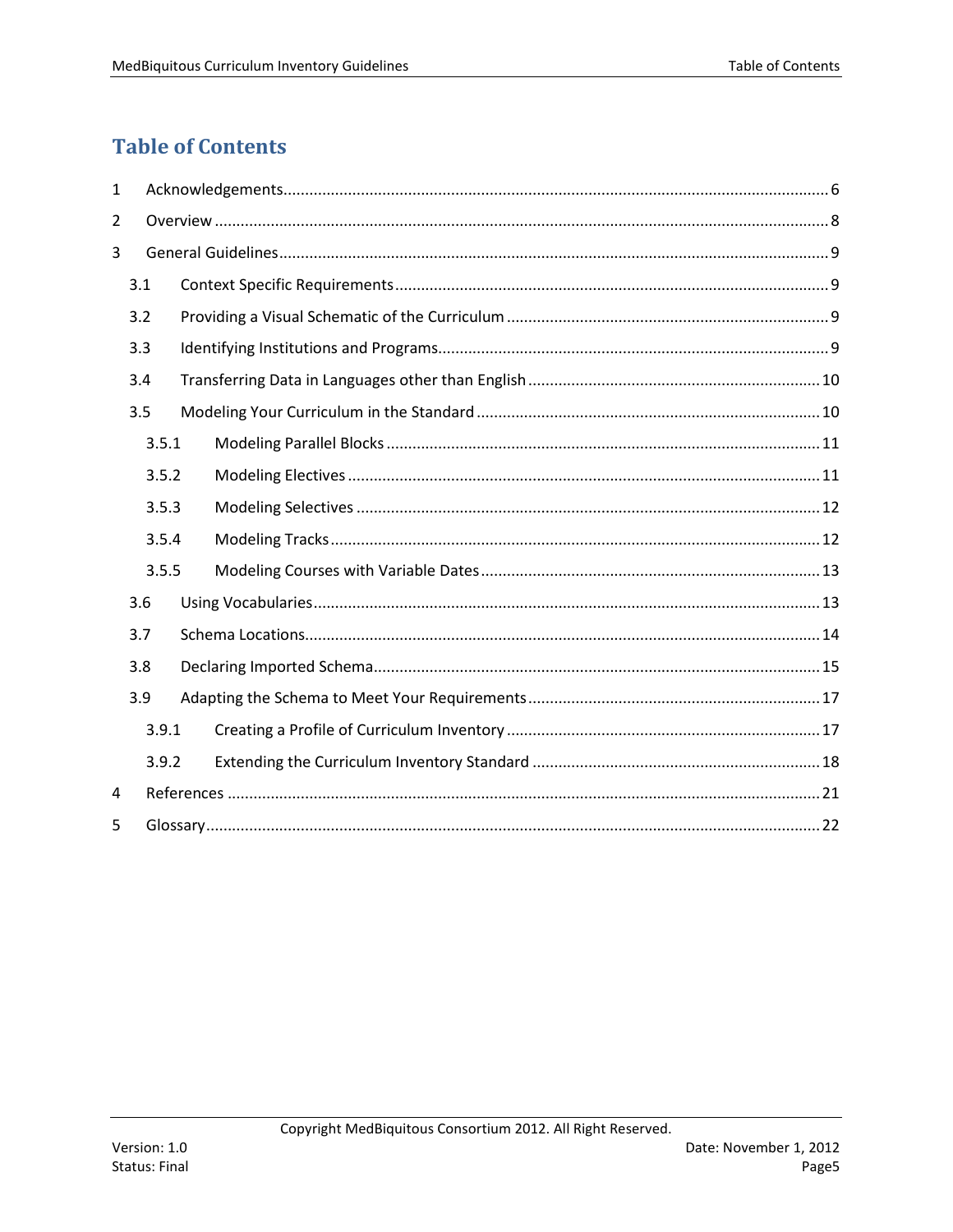# <span id="page-4-0"></span>**Table of Contents**

| 1     |       |  |  |  |  |  |
|-------|-------|--|--|--|--|--|
| 2     |       |  |  |  |  |  |
| 3     |       |  |  |  |  |  |
|       | 3.1   |  |  |  |  |  |
|       | 3.2   |  |  |  |  |  |
|       | 3.3   |  |  |  |  |  |
|       | 3.4   |  |  |  |  |  |
|       | 3.5   |  |  |  |  |  |
|       | 3.5.1 |  |  |  |  |  |
|       | 3.5.2 |  |  |  |  |  |
|       | 3.5.3 |  |  |  |  |  |
|       | 3.5.4 |  |  |  |  |  |
|       | 3.5.5 |  |  |  |  |  |
|       | 3.6   |  |  |  |  |  |
|       | 3.7   |  |  |  |  |  |
|       | 3.8   |  |  |  |  |  |
|       | 3.9   |  |  |  |  |  |
|       | 3.9.1 |  |  |  |  |  |
| 3.9.2 |       |  |  |  |  |  |
| 4     |       |  |  |  |  |  |
| 5     |       |  |  |  |  |  |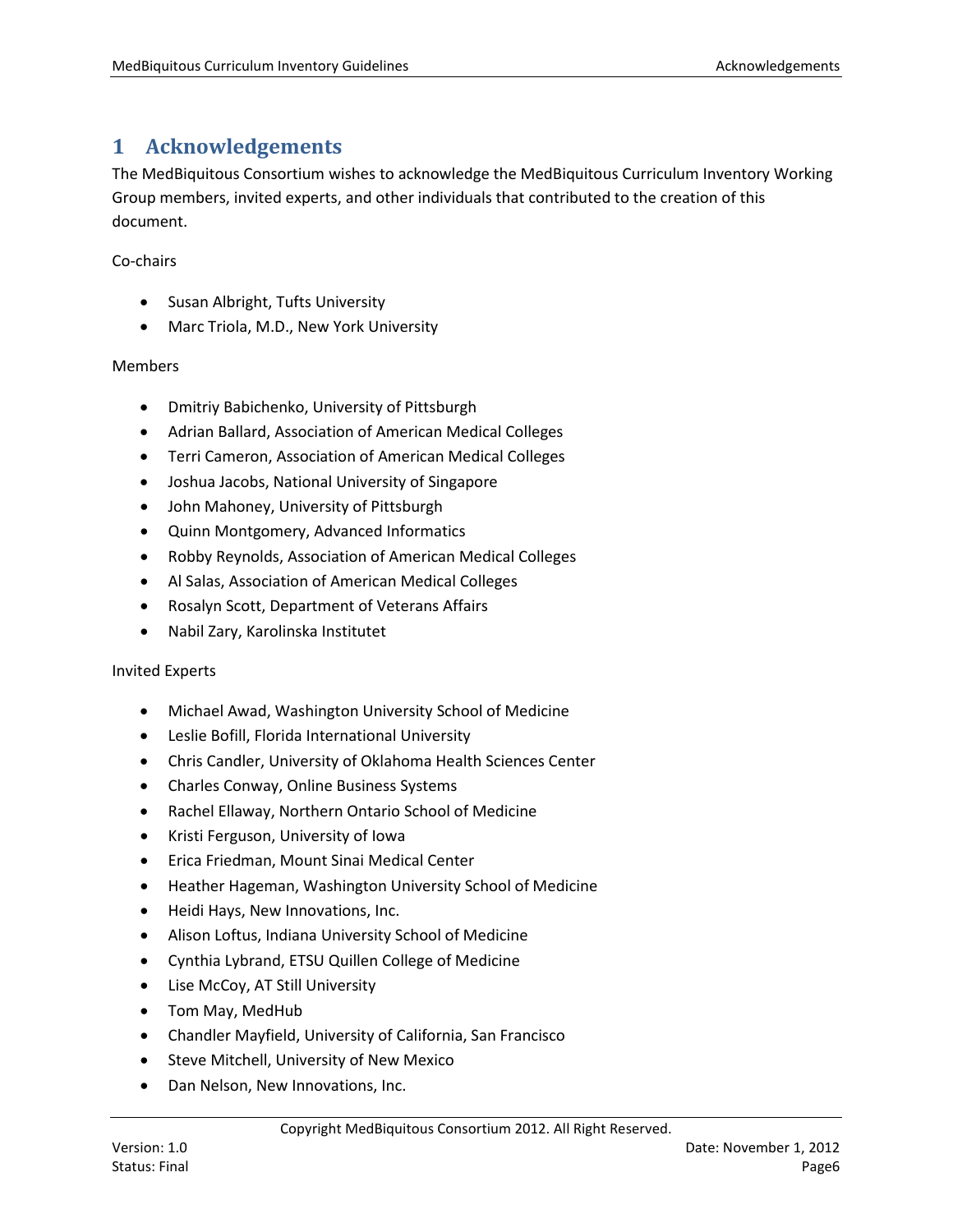# <span id="page-5-0"></span>**1 Acknowledgements**

The MedBiquitous Consortium wishes to acknowledge the MedBiquitous Curriculum Inventory Working Group members, invited experts, and other individuals that contributed to the creation of this document.

Co-chairs

- Susan Albright, Tufts University
- Marc Triola, M.D., New York University

#### Members

- Dmitriy Babichenko, University of Pittsburgh
- Adrian Ballard, Association of American Medical Colleges
- Terri Cameron, Association of American Medical Colleges
- Joshua Jacobs, National University of Singapore
- John Mahoney, University of Pittsburgh
- Quinn Montgomery, Advanced Informatics
- Robby Reynolds, Association of American Medical Colleges
- Al Salas, Association of American Medical Colleges
- Rosalyn Scott, Department of Veterans Affairs
- Nabil Zary, Karolinska Institutet

#### Invited Experts

- Michael Awad, Washington University School of Medicine
- Leslie Bofill, Florida International University
- Chris Candler, University of Oklahoma Health Sciences Center
- Charles Conway, Online Business Systems
- Rachel Ellaway, Northern Ontario School of Medicine
- Kristi Ferguson, University of Iowa
- Erica Friedman, Mount Sinai Medical Center
- Heather Hageman, Washington University School of Medicine
- Heidi Hays, New Innovations, Inc.
- Alison Loftus, Indiana University School of Medicine
- Cynthia Lybrand, ETSU Quillen College of Medicine
- Lise McCoy, AT Still University
- Tom May, MedHub
- Chandler Mayfield, University of California, San Francisco
- Steve Mitchell, University of New Mexico
- Dan Nelson, New Innovations, Inc.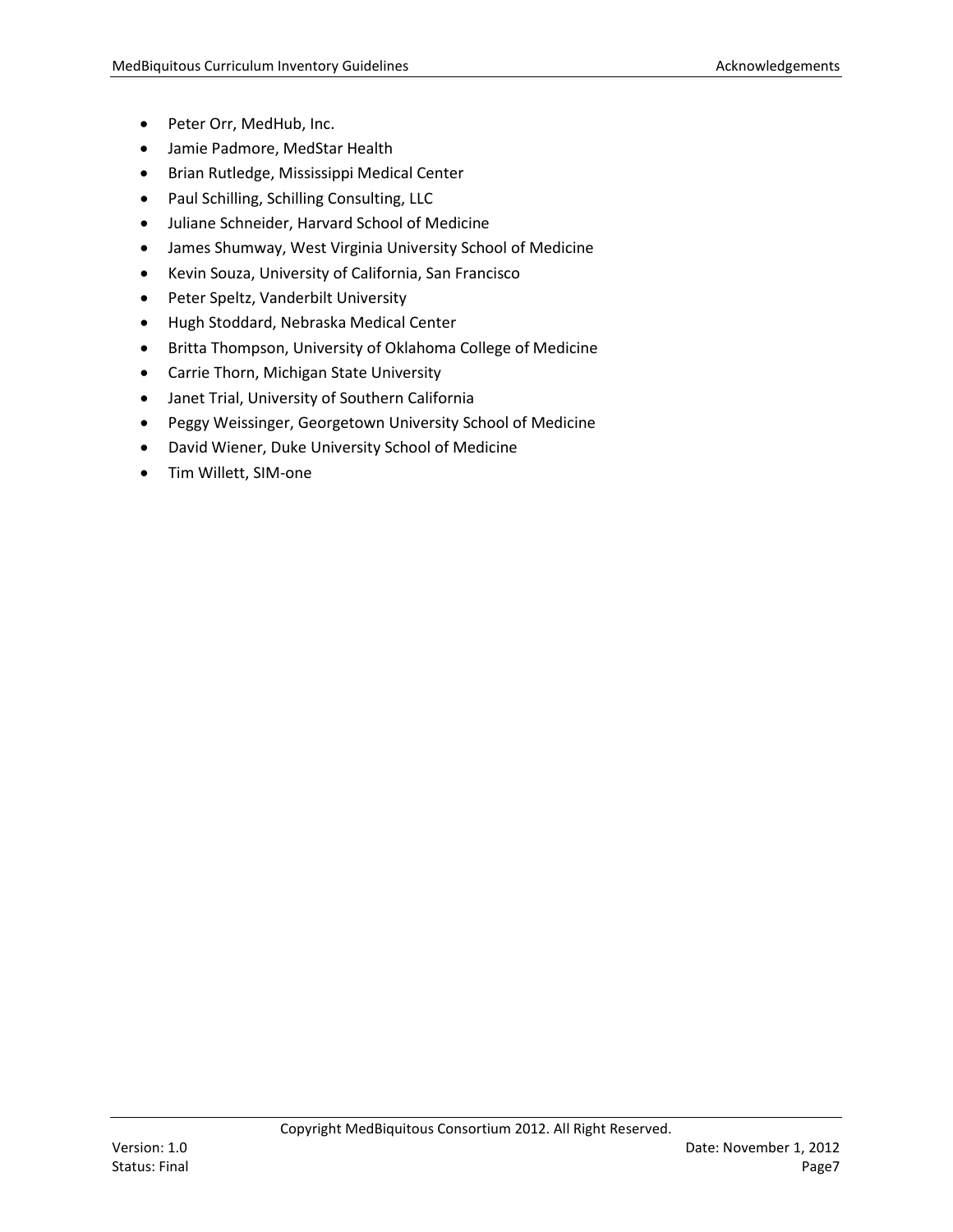- Peter Orr, MedHub, Inc.
- Jamie Padmore, MedStar Health
- Brian Rutledge, Mississippi Medical Center
- Paul Schilling, Schilling Consulting, LLC
- Juliane Schneider, Harvard School of Medicine
- James Shumway, West Virginia University School of Medicine
- Kevin Souza, University of California, San Francisco
- Peter Speltz, Vanderbilt University
- Hugh Stoddard, Nebraska Medical Center
- Britta Thompson, University of Oklahoma College of Medicine
- Carrie Thorn, Michigan State University
- Janet Trial, University of Southern California
- Peggy Weissinger, Georgetown University School of Medicine
- David Wiener, Duke University School of Medicine
- Tim Willett, SIM-one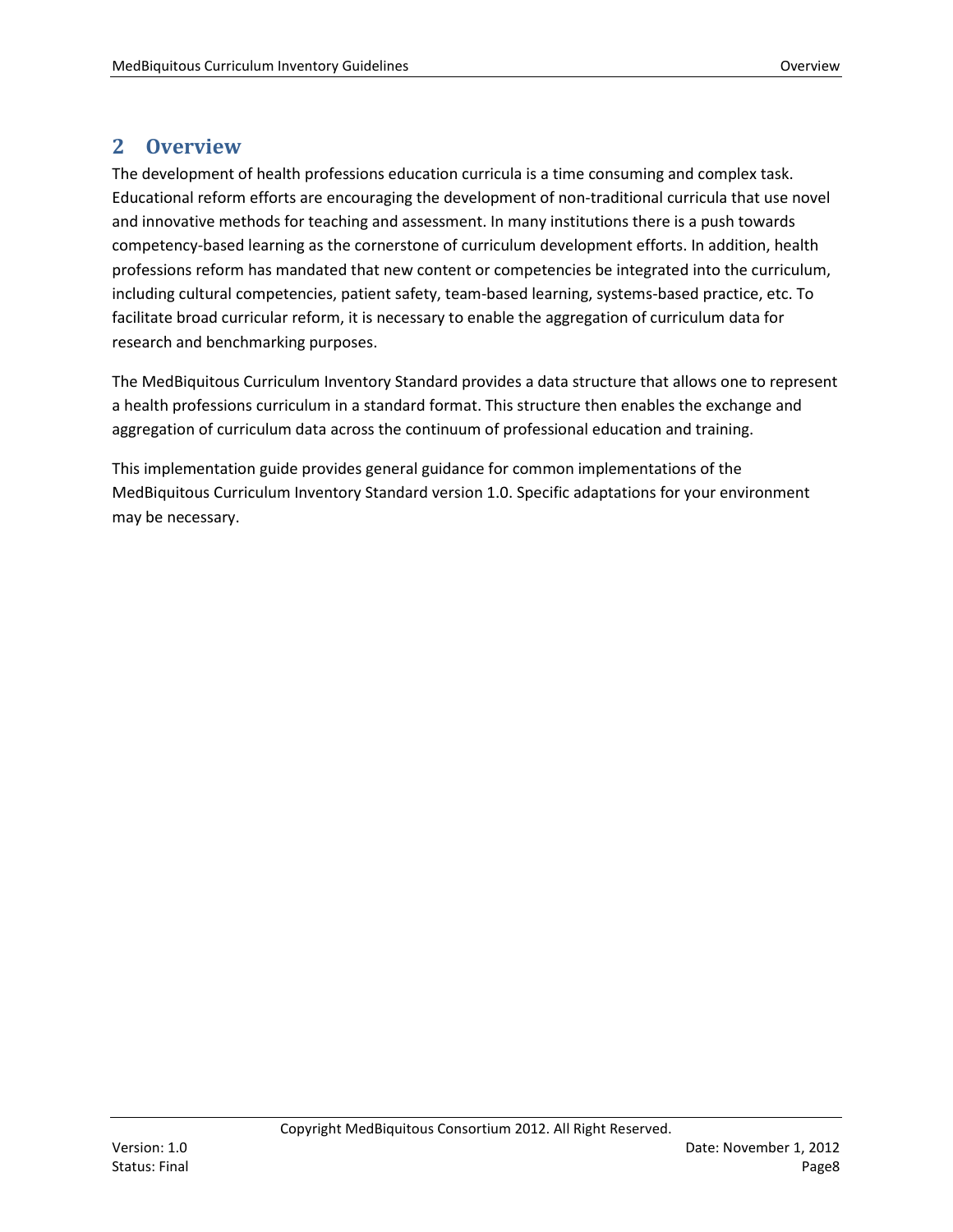# <span id="page-7-0"></span>**2 Overview**

The development of health professions education curricula is a time consuming and complex task. Educational reform efforts are encouraging the development of non-traditional curricula that use novel and innovative methods for teaching and assessment. In many institutions there is a push towards competency-based learning as the cornerstone of curriculum development efforts. In addition, health professions reform has mandated that new content or competencies be integrated into the curriculum, including cultural competencies, patient safety, team-based learning, systems-based practice, etc. To facilitate broad curricular reform, it is necessary to enable the aggregation of curriculum data for research and benchmarking purposes.

The MedBiquitous Curriculum Inventory Standard provides a data structure that allows one to represent a health professions curriculum in a standard format. This structure then enables the exchange and aggregation of curriculum data across the continuum of professional education and training.

This implementation guide provides general guidance for common implementations of the MedBiquitous Curriculum Inventory Standard version 1.0. Specific adaptations for your environment may be necessary.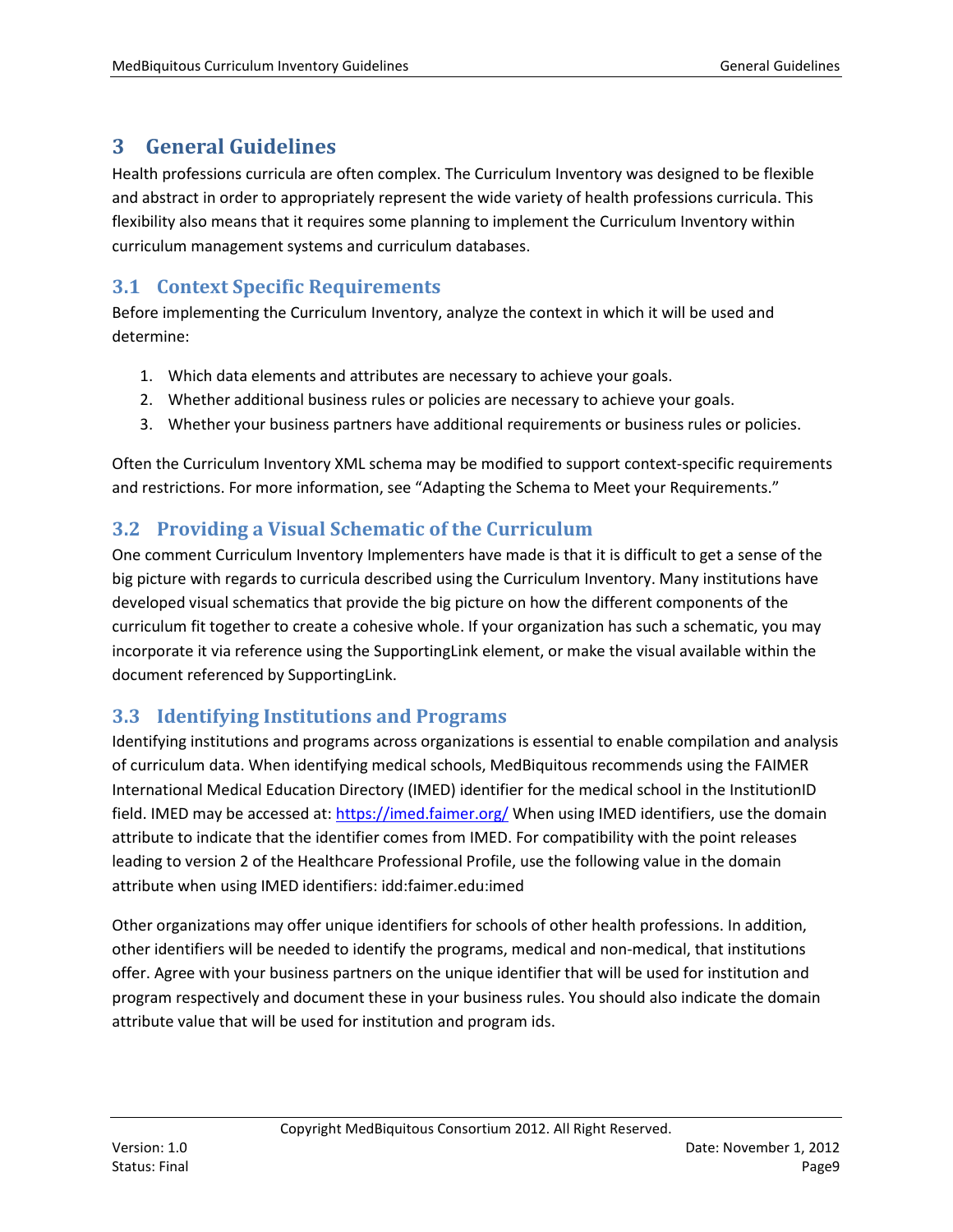# <span id="page-8-0"></span>**3 General Guidelines**

Health professions curricula are often complex. The Curriculum Inventory was designed to be flexible and abstract in order to appropriately represent the wide variety of health professions curricula. This flexibility also means that it requires some planning to implement the Curriculum Inventory within curriculum management systems and curriculum databases.

# <span id="page-8-1"></span>**3.1 Context Specific Requirements**

Before implementing the Curriculum Inventory, analyze the context in which it will be used and determine:

- 1. Which data elements and attributes are necessary to achieve your goals.
- 2. Whether additional business rules or policies are necessary to achieve your goals.
- 3. Whether your business partners have additional requirements or business rules or policies.

Often the Curriculum Inventory XML schema may be modified to support context-specific requirements and restrictions. For more information, see "Adapting the Schema to Meet your Requirements."

# <span id="page-8-2"></span>**3.2 Providing a Visual Schematic of the Curriculum**

One comment Curriculum Inventory Implementers have made is that it is difficult to get a sense of the big picture with regards to curricula described using the Curriculum Inventory. Many institutions have developed visual schematics that provide the big picture on how the different components of the curriculum fit together to create a cohesive whole. If your organization has such a schematic, you may incorporate it via reference using the SupportingLink element, or make the visual available within the document referenced by SupportingLink.

# <span id="page-8-3"></span>**3.3 Identifying Institutions and Programs**

Identifying institutions and programs across organizations is essential to enable compilation and analysis of curriculum data. When identifying medical schools, MedBiquitous recommends using the FAIMER International Medical Education Directory (IMED) identifier for the medical school in the InstitutionID field. IMED may be accessed at:<https://imed.faimer.org/> When using IMED identifiers, use the domain attribute to indicate that the identifier comes from IMED. For compatibility with the point releases leading to version 2 of the Healthcare Professional Profile, use the following value in the domain attribute when using IMED identifiers: idd:faimer.edu:imed

Other organizations may offer unique identifiers for schools of other health professions. In addition, other identifiers will be needed to identify the programs, medical and non-medical, that institutions offer. Agree with your business partners on the unique identifier that will be used for institution and program respectively and document these in your business rules. You should also indicate the domain attribute value that will be used for institution and program ids.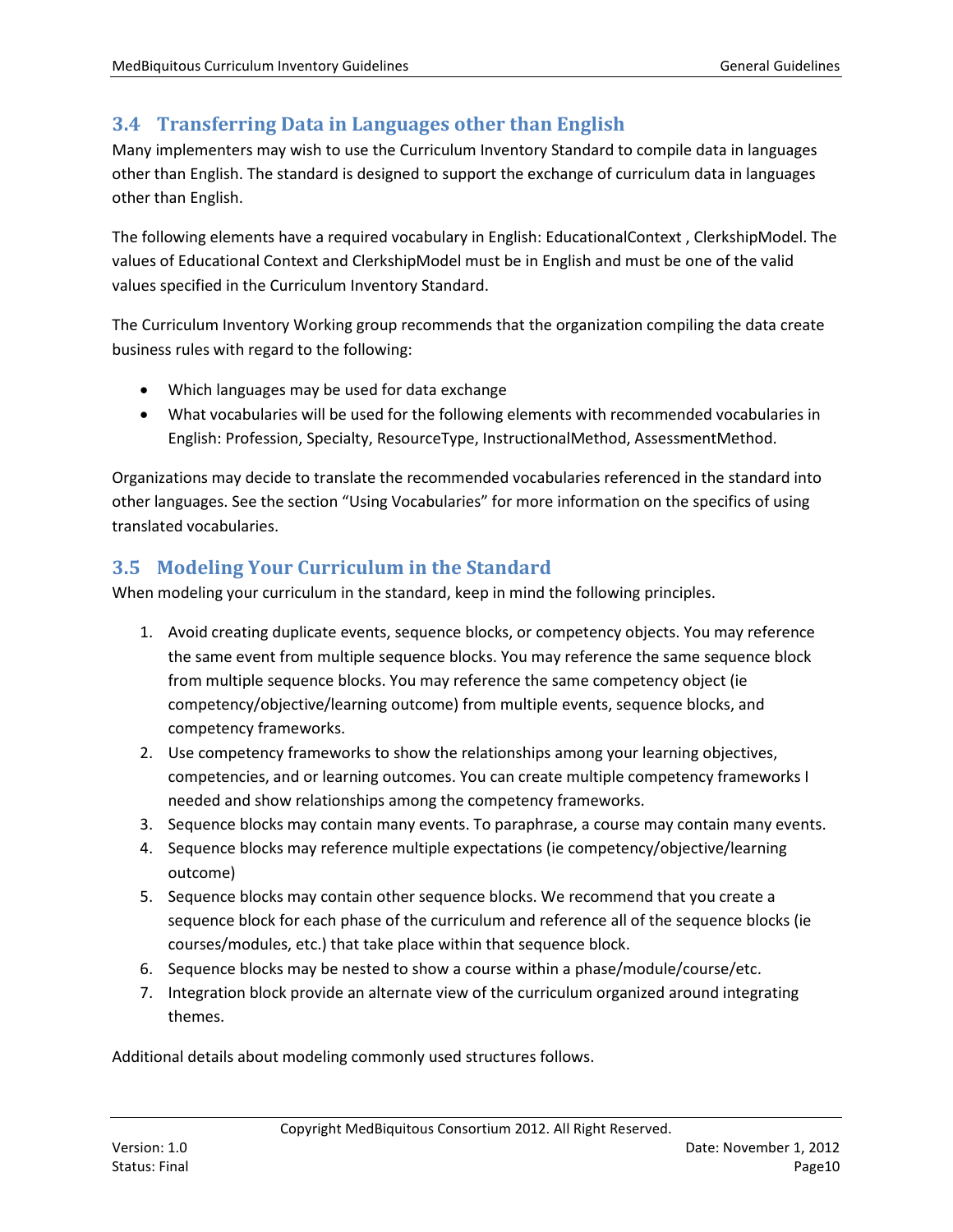# <span id="page-9-0"></span>**3.4 Transferring Data in Languages other than English**

Many implementers may wish to use the Curriculum Inventory Standard to compile data in languages other than English. The standard is designed to support the exchange of curriculum data in languages other than English.

The following elements have a required vocabulary in English: EducationalContext , ClerkshipModel. The values of Educational Context and ClerkshipModel must be in English and must be one of the valid values specified in the Curriculum Inventory Standard.

The Curriculum Inventory Working group recommends that the organization compiling the data create business rules with regard to the following:

- Which languages may be used for data exchange
- What vocabularies will be used for the following elements with recommended vocabularies in English: Profession, Specialty, ResourceType, InstructionalMethod, AssessmentMethod.

Organizations may decide to translate the recommended vocabularies referenced in the standard into other languages. See the section "Using Vocabularies" for more information on the specifics of using translated vocabularies.

# <span id="page-9-1"></span>**3.5 Modeling Your Curriculum in the Standard**

When modeling your curriculum in the standard, keep in mind the following principles.

- 1. Avoid creating duplicate events, sequence blocks, or competency objects. You may reference the same event from multiple sequence blocks. You may reference the same sequence block from multiple sequence blocks. You may reference the same competency object (ie competency/objective/learning outcome) from multiple events, sequence blocks, and competency frameworks.
- 2. Use competency frameworks to show the relationships among your learning objectives, competencies, and or learning outcomes. You can create multiple competency frameworks I needed and show relationships among the competency frameworks.
- 3. Sequence blocks may contain many events. To paraphrase, a course may contain many events.
- 4. Sequence blocks may reference multiple expectations (ie competency/objective/learning outcome)
- 5. Sequence blocks may contain other sequence blocks. We recommend that you create a sequence block for each phase of the curriculum and reference all of the sequence blocks (ie courses/modules, etc.) that take place within that sequence block.
- 6. Sequence blocks may be nested to show a course within a phase/module/course/etc.
- 7. Integration block provide an alternate view of the curriculum organized around integrating themes.

Additional details about modeling commonly used structures follows.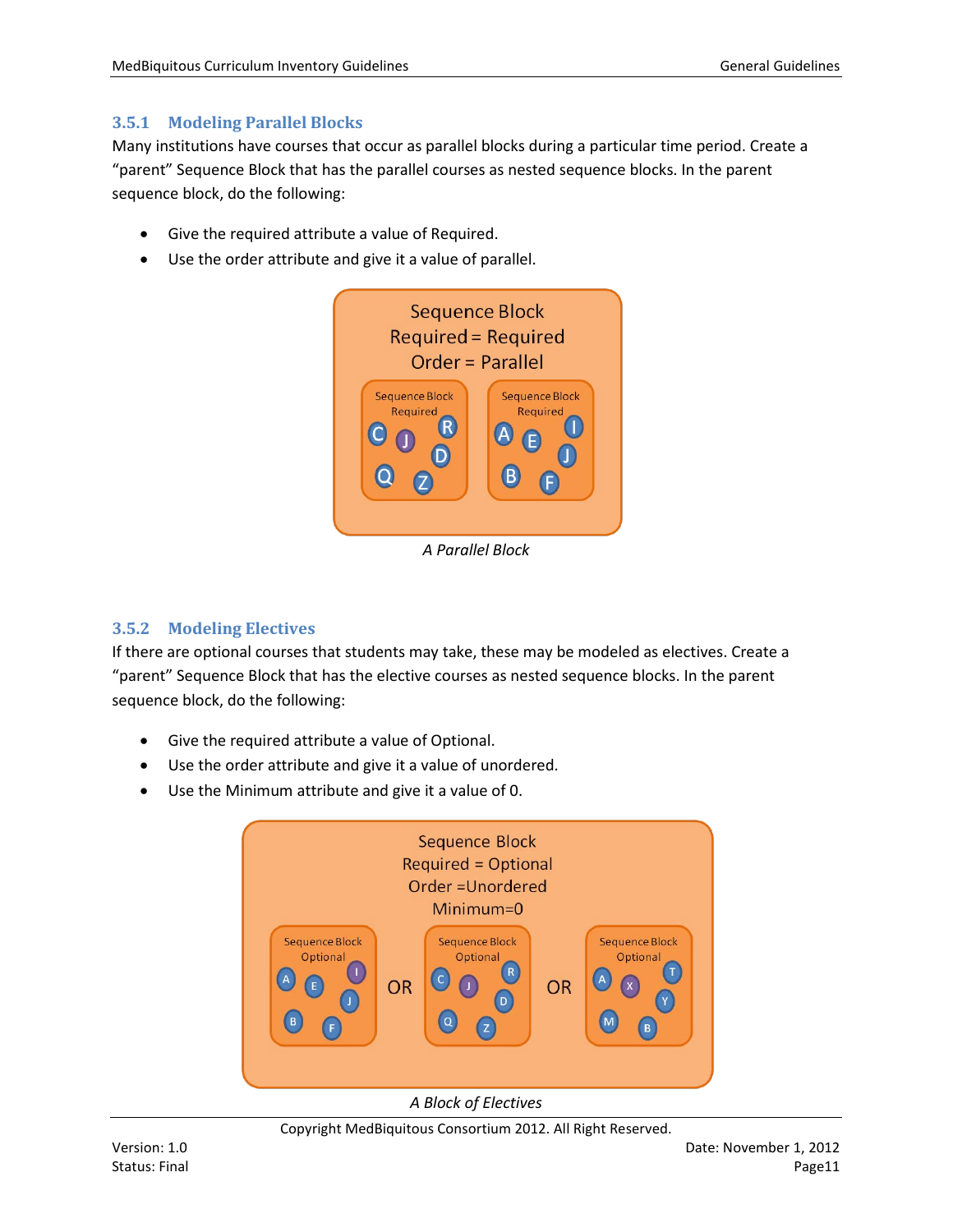#### <span id="page-10-0"></span>**3.5.1 Modeling Parallel Blocks**

Many institutions have courses that occur as parallel blocks during a particular time period. Create a "parent" Sequence Block that has the parallel courses as nested sequence blocks. In the parent sequence block, do the following:

- Give the required attribute a value of Required.
- Use the order attribute and give it a value of parallel.



*A Parallel Block*

#### <span id="page-10-1"></span>**3.5.2 Modeling Electives**

If there are optional courses that students may take, these may be modeled as electives. Create a "parent" Sequence Block that has the elective courses as nested sequence blocks. In the parent sequence block, do the following:

- Give the required attribute a value of Optional.
- Use the order attribute and give it a value of unordered.
- Use the Minimum attribute and give it a value of 0.



Copyright MedBiquitous Consortium 2012. All Right Reserved.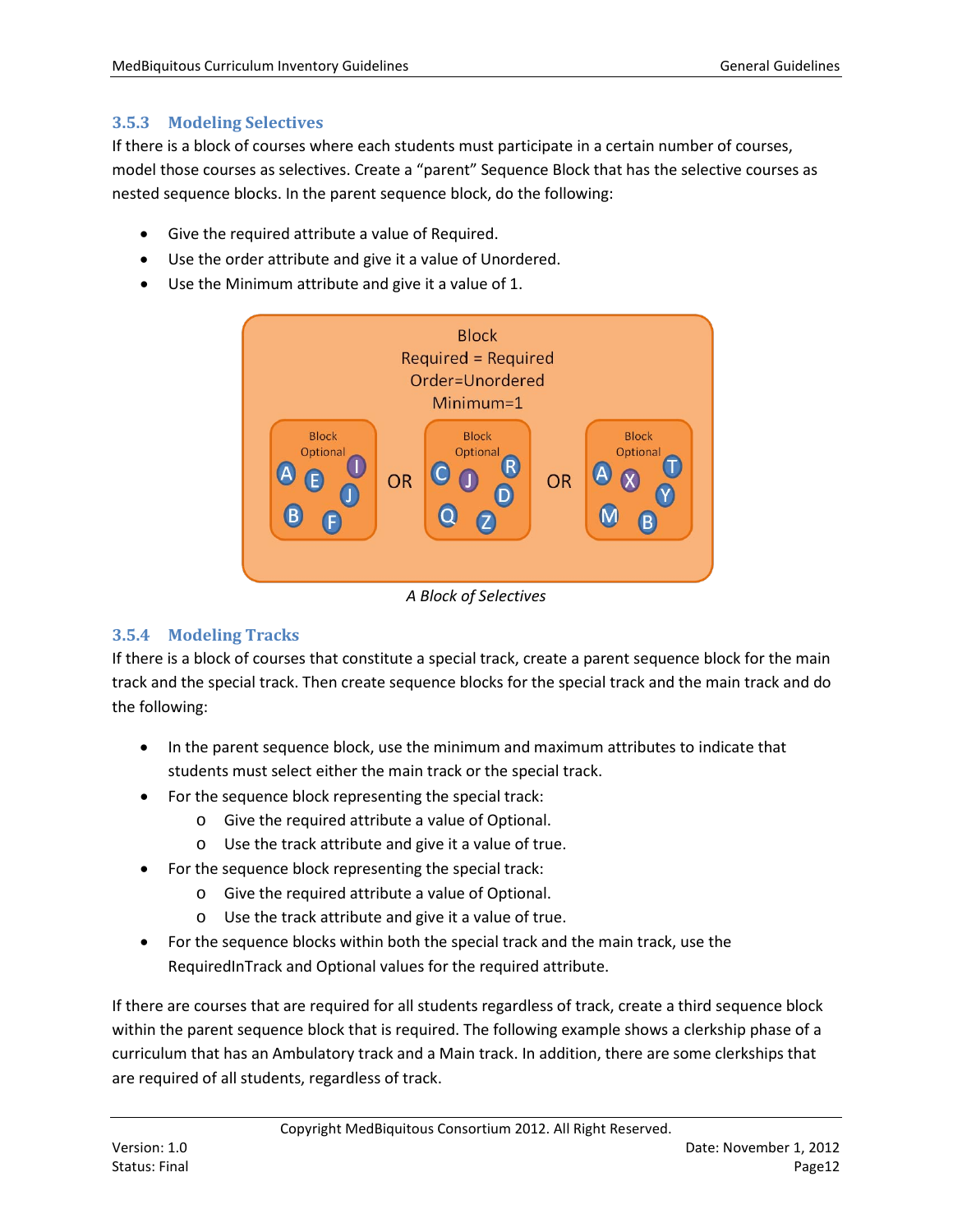#### <span id="page-11-0"></span>**3.5.3 Modeling Selectives**

If there is a block of courses where each students must participate in a certain number of courses, model those courses as selectives. Create a "parent" Sequence Block that has the selective courses as nested sequence blocks. In the parent sequence block, do the following:

- Give the required attribute a value of Required.
- Use the order attribute and give it a value of Unordered.
- Use the Minimum attribute and give it a value of 1.



*A Block of Selectives*

#### <span id="page-11-1"></span>**3.5.4 Modeling Tracks**

If there is a block of courses that constitute a special track, create a parent sequence block for the main track and the special track. Then create sequence blocks for the special track and the main track and do the following:

- In the parent sequence block, use the minimum and maximum attributes to indicate that students must select either the main track or the special track.
- For the sequence block representing the special track:
	- o Give the required attribute a value of Optional.
	- o Use the track attribute and give it a value of true.
- For the sequence block representing the special track:
	- o Give the required attribute a value of Optional.
		- o Use the track attribute and give it a value of true.
- For the sequence blocks within both the special track and the main track, use the RequiredInTrack and Optional values for the required attribute.

If there are courses that are required for all students regardless of track, create a third sequence block within the parent sequence block that is required. The following example shows a clerkship phase of a curriculum that has an Ambulatory track and a Main track. In addition, there are some clerkships that are required of all students, regardless of track.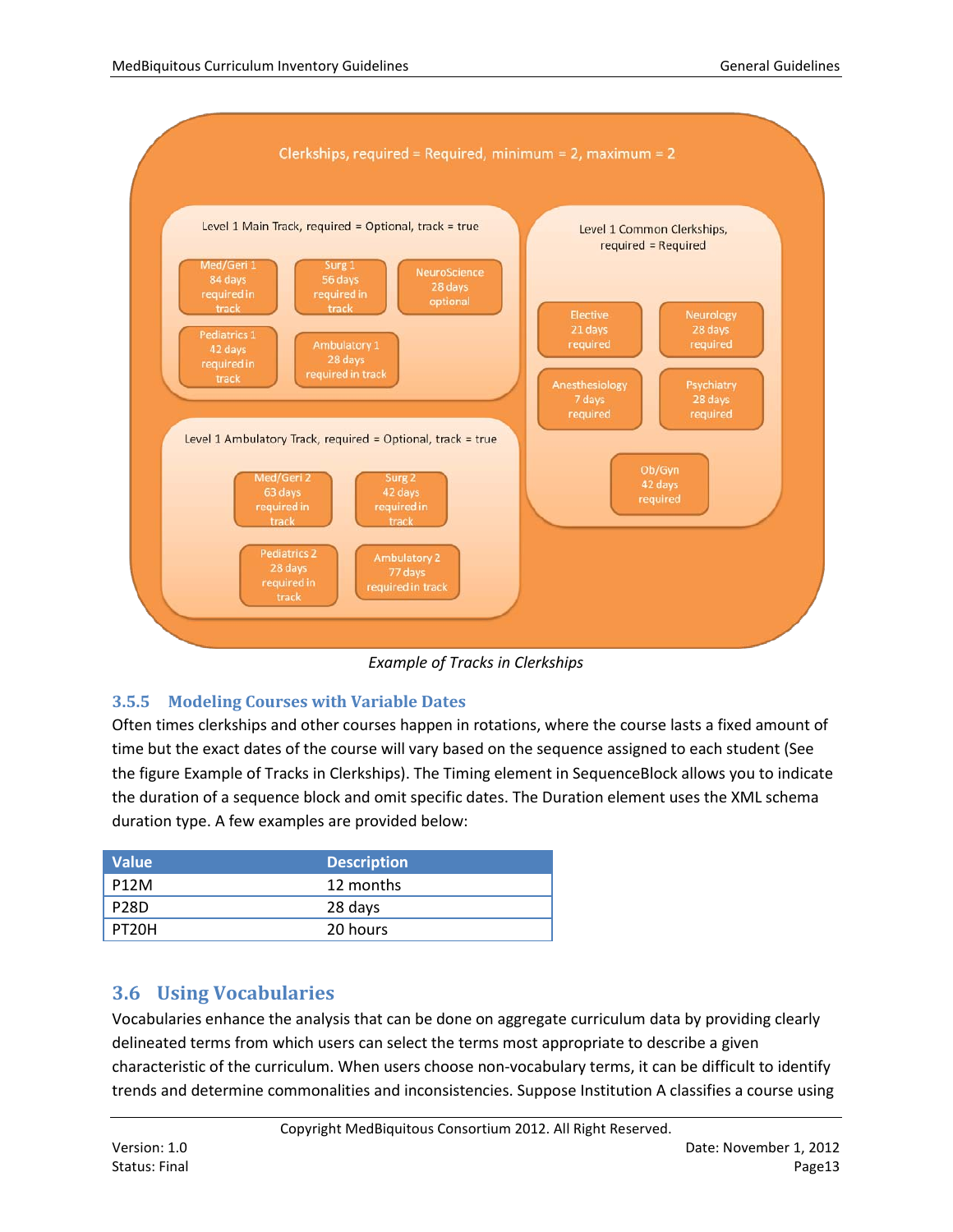

*Example of Tracks in Clerkships*

## <span id="page-12-0"></span>**3.5.5 Modeling Courses with Variable Dates**

Often times clerkships and other courses happen in rotations, where the course lasts a fixed amount of time but the exact dates of the course will vary based on the sequence assigned to each student (See the figure Example of Tracks in Clerkships). The Timing element in SequenceBlock allows you to indicate the duration of a sequence block and omit specific dates. The Duration element uses the XML schema duration type. A few examples are provided below:

| <b>Value</b>       | <b>Description</b> |
|--------------------|--------------------|
| <b>P12M</b>        | 12 months          |
| <b>P28D</b>        | 28 days            |
| PT <sub>20</sub> H | 20 hours           |

# <span id="page-12-1"></span>**3.6 Using Vocabularies**

Vocabularies enhance the analysis that can be done on aggregate curriculum data by providing clearly delineated terms from which users can select the terms most appropriate to describe a given characteristic of the curriculum. When users choose non-vocabulary terms, it can be difficult to identify trends and determine commonalities and inconsistencies. Suppose Institution A classifies a course using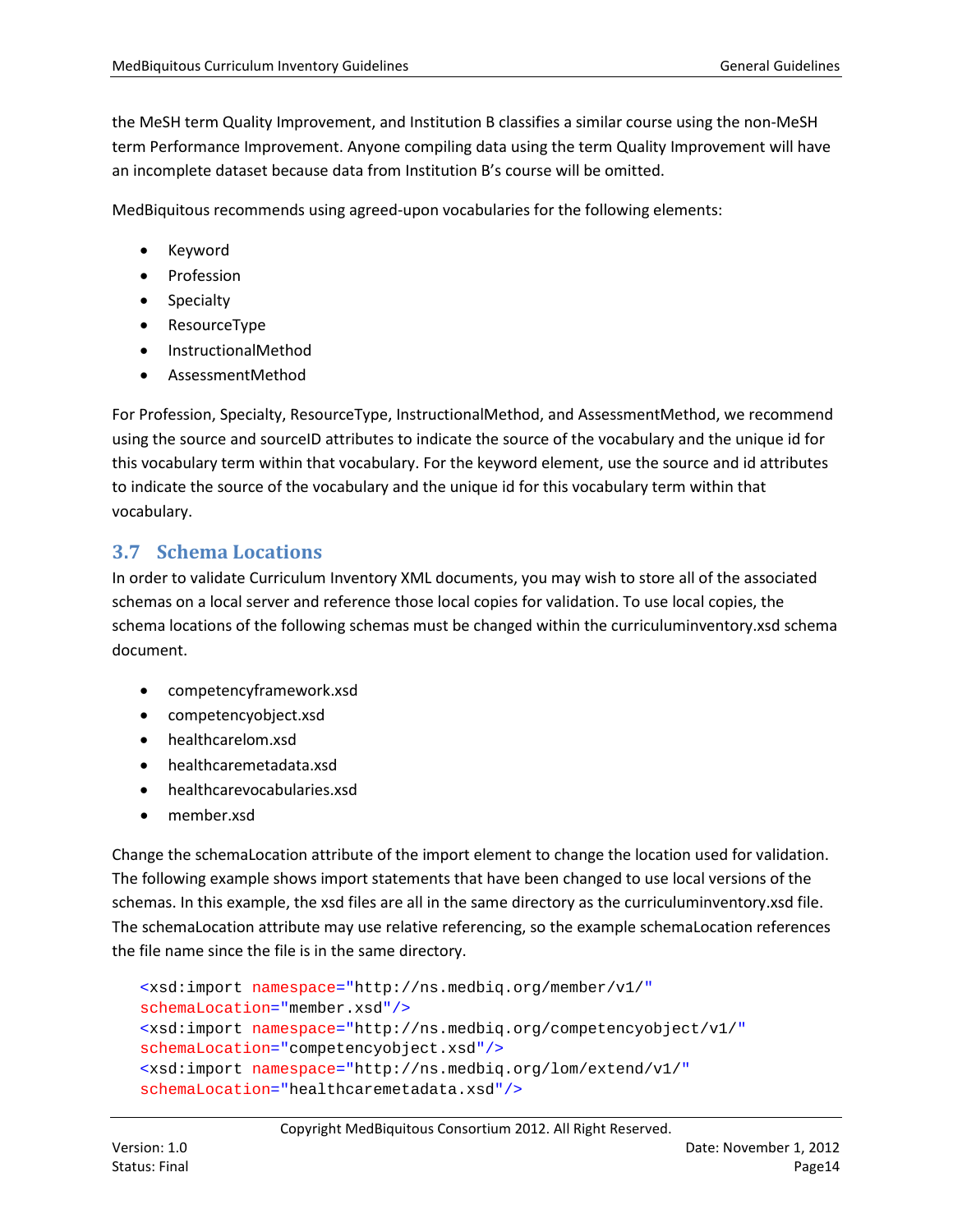the MeSH term Quality Improvement, and Institution B classifies a similar course using the non-MeSH term Performance Improvement. Anyone compiling data using the term Quality Improvement will have an incomplete dataset because data from Institution B's course will be omitted.

MedBiquitous recommends using agreed-upon vocabularies for the following elements:

- Keyword
- Profession
- Specialty
- ResourceType
- InstructionalMethod
- AssessmentMethod

For Profession, Specialty, ResourceType, InstructionalMethod, and AssessmentMethod, we recommend using the source and sourceID attributes to indicate the source of the vocabulary and the unique id for this vocabulary term within that vocabulary. For the keyword element, use the source and id attributes to indicate the source of the vocabulary and the unique id for this vocabulary term within that vocabulary.

# <span id="page-13-0"></span>**3.7 Schema Locations**

In order to validate Curriculum Inventory XML documents, you may wish to store all of the associated schemas on a local server and reference those local copies for validation. To use local copies, the schema locations of the following schemas must be changed within the curriculuminventory.xsd schema document.

- competencyframework.xsd
- competencyobject.xsd
- healthcarelom.xsd
- healthcaremetadata.xsd
- healthcarevocabularies.xsd
- member.xsd

Change the schemaLocation attribute of the import element to change the location used for validation. The following example shows import statements that have been changed to use local versions of the schemas. In this example, the xsd files are all in the same directory as the curriculuminventory.xsd file. The schemaLocation attribute may use relative referencing, so the example schemaLocation references the file name since the file is in the same directory.

```
<xsd:import namespace="http://ns.medbiq.org/member/v1/"
schemaLocation="member.xsd"/>
<xsd:import namespace="http://ns.medbiq.org/competencyobject/v1/"
schemaLocation="competencyobject.xsd"/>
<xsd:import namespace="http://ns.medbiq.org/lom/extend/v1/"
schemaLocation="healthcaremetadata.xsd"/>
```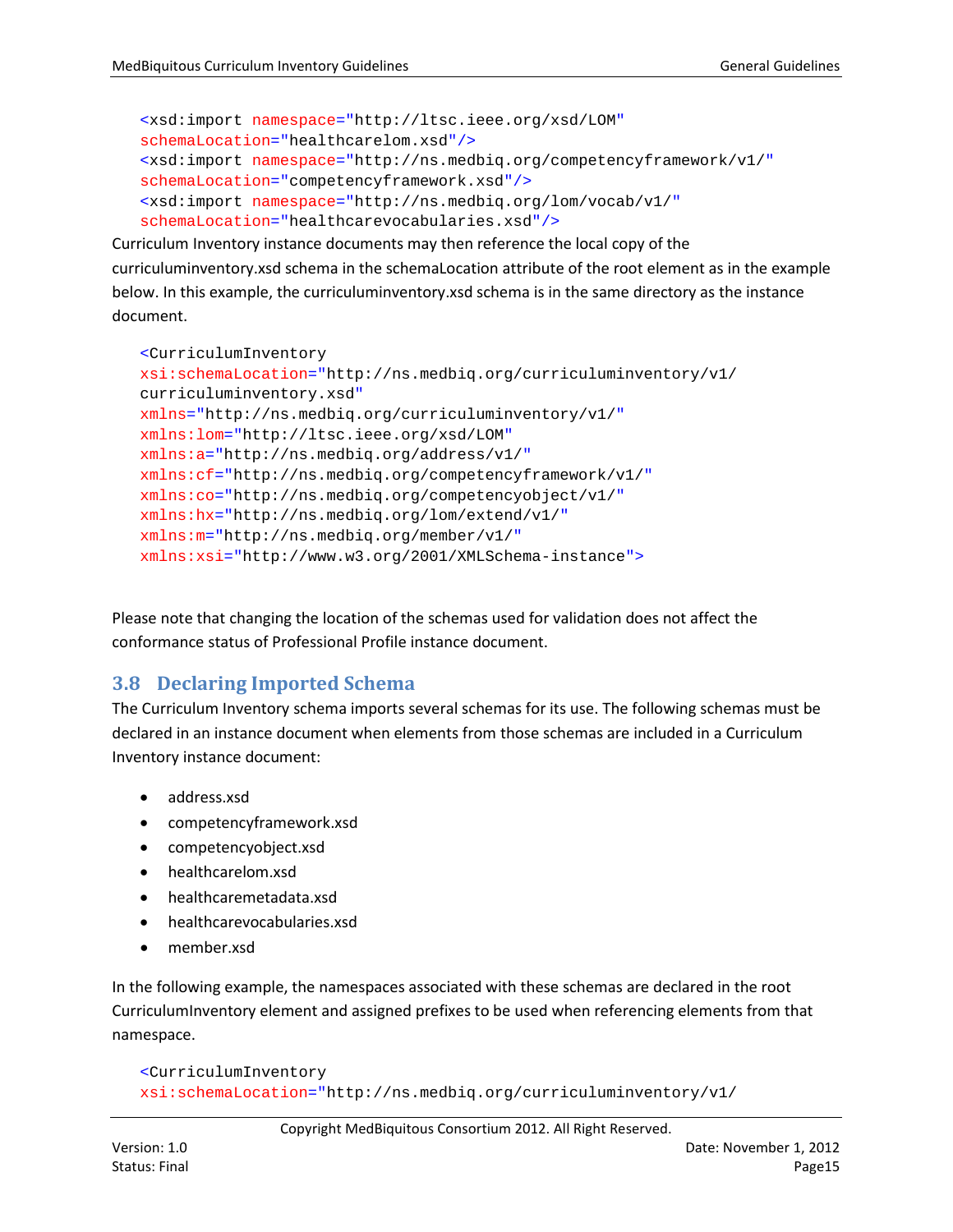```
<xsd:import namespace="http://ltsc.ieee.org/xsd/LOM"
schemaLocation="healthcarelom.xsd"/>
<xsd:import namespace="http://ns.medbiq.org/competencyframework/v1/"
schemaLocation="competencyframework.xsd"/>
<xsd:import namespace="http://ns.medbiq.org/lom/vocab/v1/"
schemaLocation="healthcarevocabularies.xsd"/>
```
Curriculum Inventory instance documents may then reference the local copy of the curriculuminventory.xsd schema in the schemaLocation attribute of the root element as in the example below. In this example, the curriculuminventory.xsd schema is in the same directory as the instance document.

```
<CurriculumInventory
xsi:schemaLocation="http://ns.medbiq.org/curriculuminventory/v1/ 
curriculuminventory.xsd"
xmlns="http://ns.medbiq.org/curriculuminventory/v1/"
xmlns:lom="http://ltsc.ieee.org/xsd/LOM"
xmlns:a="http://ns.medbiq.org/address/v1/"
xmlns:cf="http://ns.medbiq.org/competencyframework/v1/"
xmlns:co="http://ns.medbiq.org/competencyobject/v1/"
xmlns:hx="http://ns.medbiq.org/lom/extend/v1/"
xmlns:m="http://ns.medbiq.org/member/v1/"
xmlns:xsi="http://www.w3.org/2001/XMLSchema-instance">
```
Please note that changing the location of the schemas used for validation does not affect the conformance status of Professional Profile instance document.

## <span id="page-14-0"></span>**3.8 Declaring Imported Schema**

The Curriculum Inventory schema imports several schemas for its use. The following schemas must be declared in an instance document when elements from those schemas are included in a Curriculum Inventory instance document:

- address.xsd
- competencyframework.xsd
- competencyobject.xsd
- healthcarelom.xsd
- healthcaremetadata.xsd
- healthcarevocabularies.xsd
- member.xsd

In the following example, the namespaces associated with these schemas are declared in the root CurriculumInventory element and assigned prefixes to be used when referencing elements from that namespace.

```
<CurriculumInventory
xsi:schemaLocation="http://ns.medbiq.org/curriculuminventory/v1/
```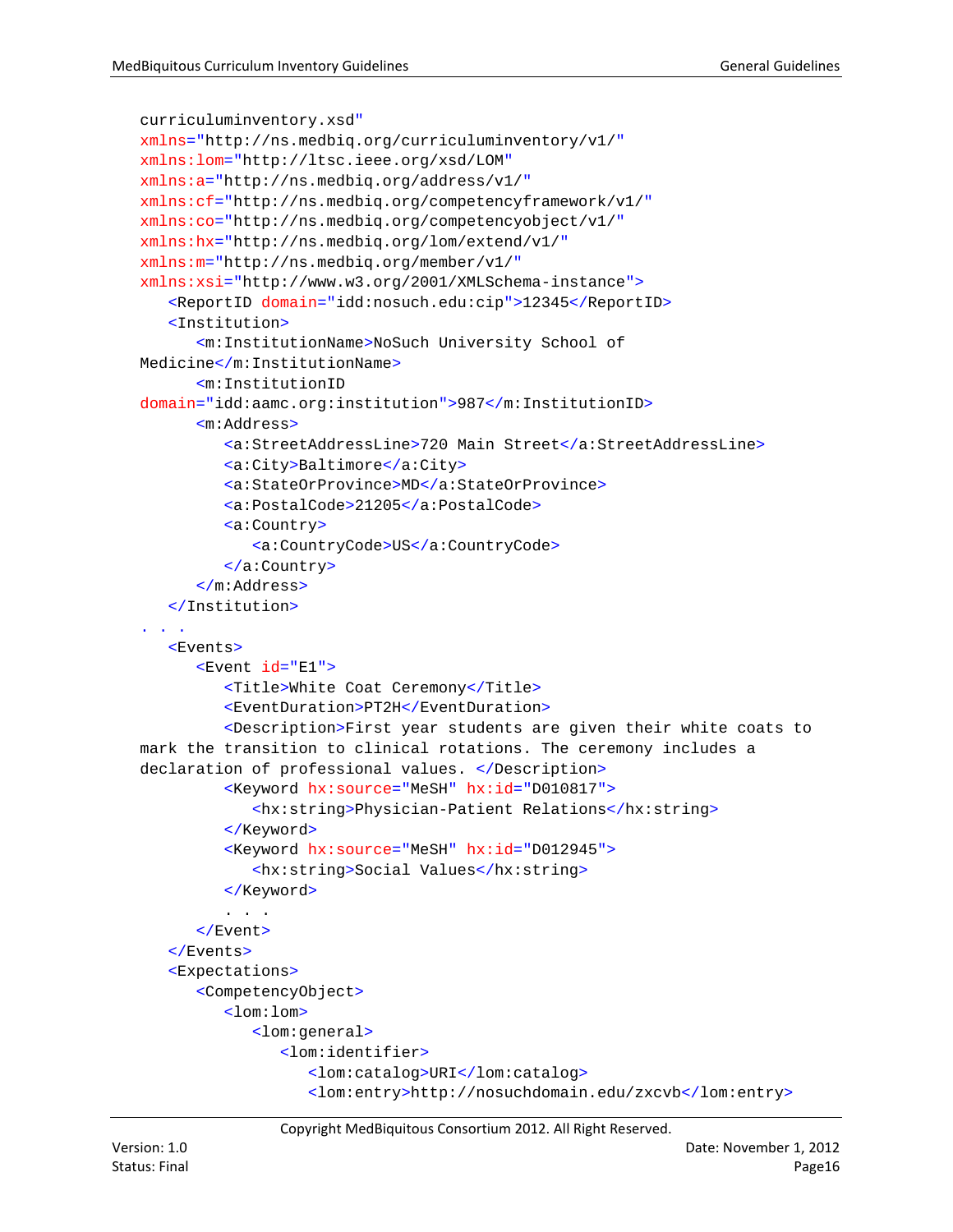```
curriculuminventory.xsd"
xmlns="http://ns.medbiq.org/curriculuminventory/v1/"
xmlns:lom="http://ltsc.ieee.org/xsd/LOM"
xmlns:a="http://ns.medbiq.org/address/v1/"
xmlns:cf="http://ns.medbiq.org/competencyframework/v1/"
xmlns:co="http://ns.medbiq.org/competencyobject/v1/"
xmlns:hx="http://ns.medbiq.org/lom/extend/v1/"
xmlns:m="http://ns.medbiq.org/member/v1/"
xmlns:xsi="http://www.w3.org/2001/XMLSchema-instance">
   <ReportID domain="idd:nosuch.edu:cip">12345</ReportID>
   <Institution>
      <m:InstitutionName>NoSuch University School of 
Medicine</m:InstitutionName>
      <m:InstitutionID
domain="idd:aamc.org:institution">987</m:InstitutionID>
      <m:Address>
         <a:StreetAddressLine>720 Main Street</a:StreetAddressLine>
         <a:City>Baltimore</a:City>
         <a:StateOrProvince>MD</a:StateOrProvince>
         <a:PostalCode>21205</a:PostalCode>
         <a:Country>
            <a:CountryCode>US</a:CountryCode>
         </a:Country>
      </m:Address>
   </Institution>
. . .
   <Events>
      <Event id="E1">
         <Title>White Coat Ceremony</Title>
         <EventDuration>PT2H</EventDuration>
         <Description>First year students are given their white coats to 
mark the transition to clinical rotations. The ceremony includes a 
declaration of professional values. </Description>
         <Keyword hx:source="MeSH" hx:id="D010817">
            <hx:string>Physician-Patient Relations</hx:string>
         </Keyword>
         <Keyword hx:source="MeSH" hx:id="D012945">
            <hx:string>Social Values</hx:string>
         </Keyword>
         . . .
      </Event>
   </Events>
   <Expectations>
      <CompetencyObject>
         <lom:lom>
            <lom:general>
               <lom:identifier>
                  <lom:catalog>URI</lom:catalog>
                  <lom:entry>http://nosuchdomain.edu/zxcvb</lom:entry>
```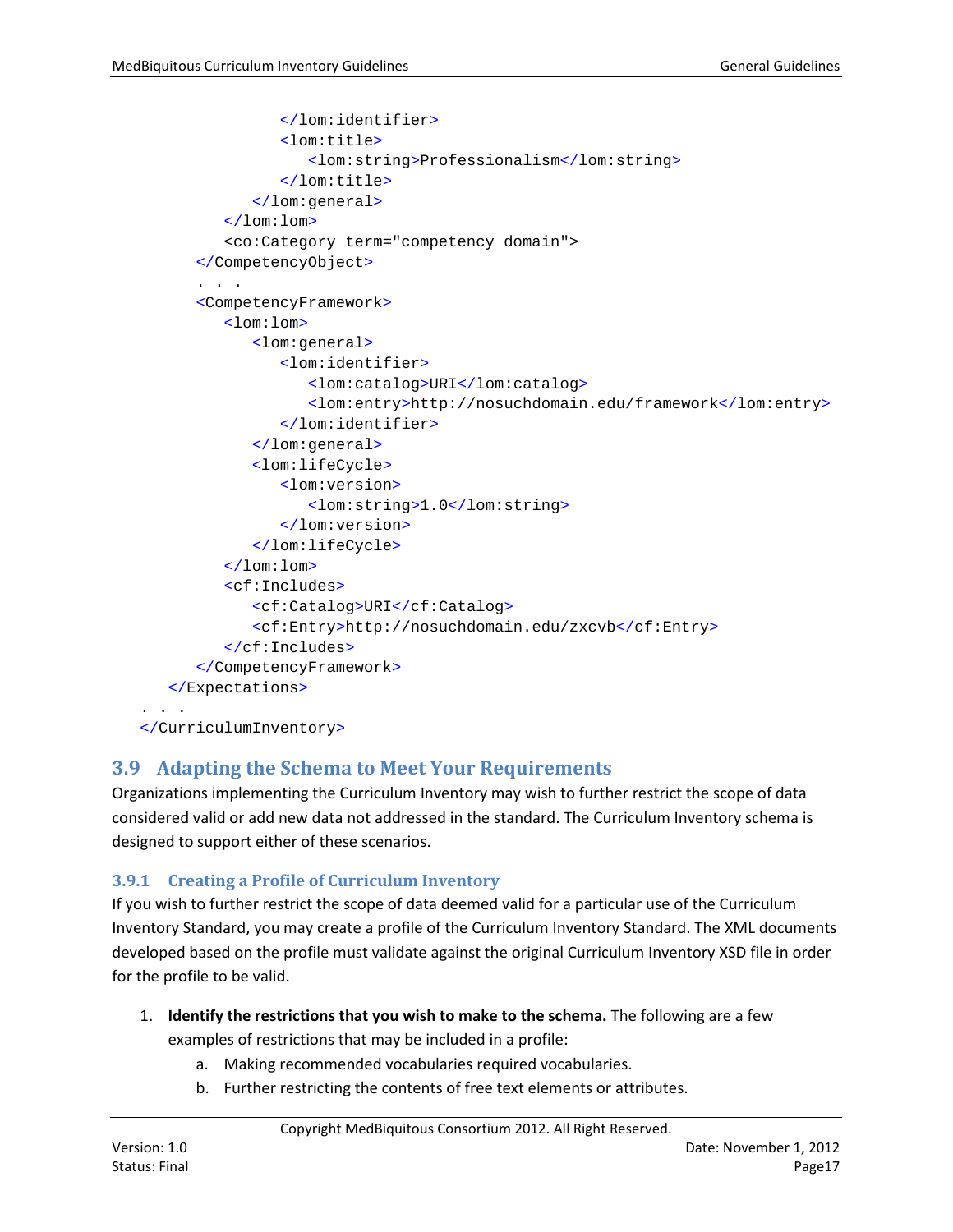```
</lom:identifier>
               <lom:title>
                  <lom:string>Professionalism</lom:string>
               </lom:title>
            </lom:general>
         </lom:lom>
         <co:Category term="competency domain">
      </CompetencyObject>
      . . .
      <CompetencyFramework>
         <lom:lom>
            <lom:general>
               <lom:identifier>
                  <lom:catalog>URI</lom:catalog>
                  <lom:entry>http://nosuchdomain.edu/framework</lom:entry>
               </lom:identifier>
            </lom:general>
            <lom:lifeCycle>
               <lom:version>
                  <lom:string>1.0</lom:string>
               </lom:version>
            </lom:lifeCycle>
         </lom:lom>
         <cf:Includes>
            <cf:Catalog>URI</cf:Catalog>
            <cf:Entry>http://nosuchdomain.edu/zxcvb</cf:Entry>
         </cf:Includes>
      </CompetencyFramework>
   </Expectations>
. . . . .
</CurriculumInventory>
```
# <span id="page-16-0"></span>**3.9 Adapting the Schema to Meet Your Requirements**

Organizations implementing the Curriculum Inventory may wish to further restrict the scope of data considered valid or add new data not addressed in the standard. The Curriculum Inventory schema is designed to support either of these scenarios.

## <span id="page-16-1"></span>**3.9.1 Creating a Profile of Curriculum Inventory**

If you wish to further restrict the scope of data deemed valid for a particular use of the Curriculum Inventory Standard, you may create a profile of the Curriculum Inventory Standard. The XML documents developed based on the profile must validate against the original Curriculum Inventory XSD file in order for the profile to be valid.

- 1. **Identify the restrictions that you wish to make to the schema.** The following are a few examples of restrictions that may be included in a profile:
	- a. Making recommended vocabularies required vocabularies.
	- b. Further restricting the contents of free text elements or attributes.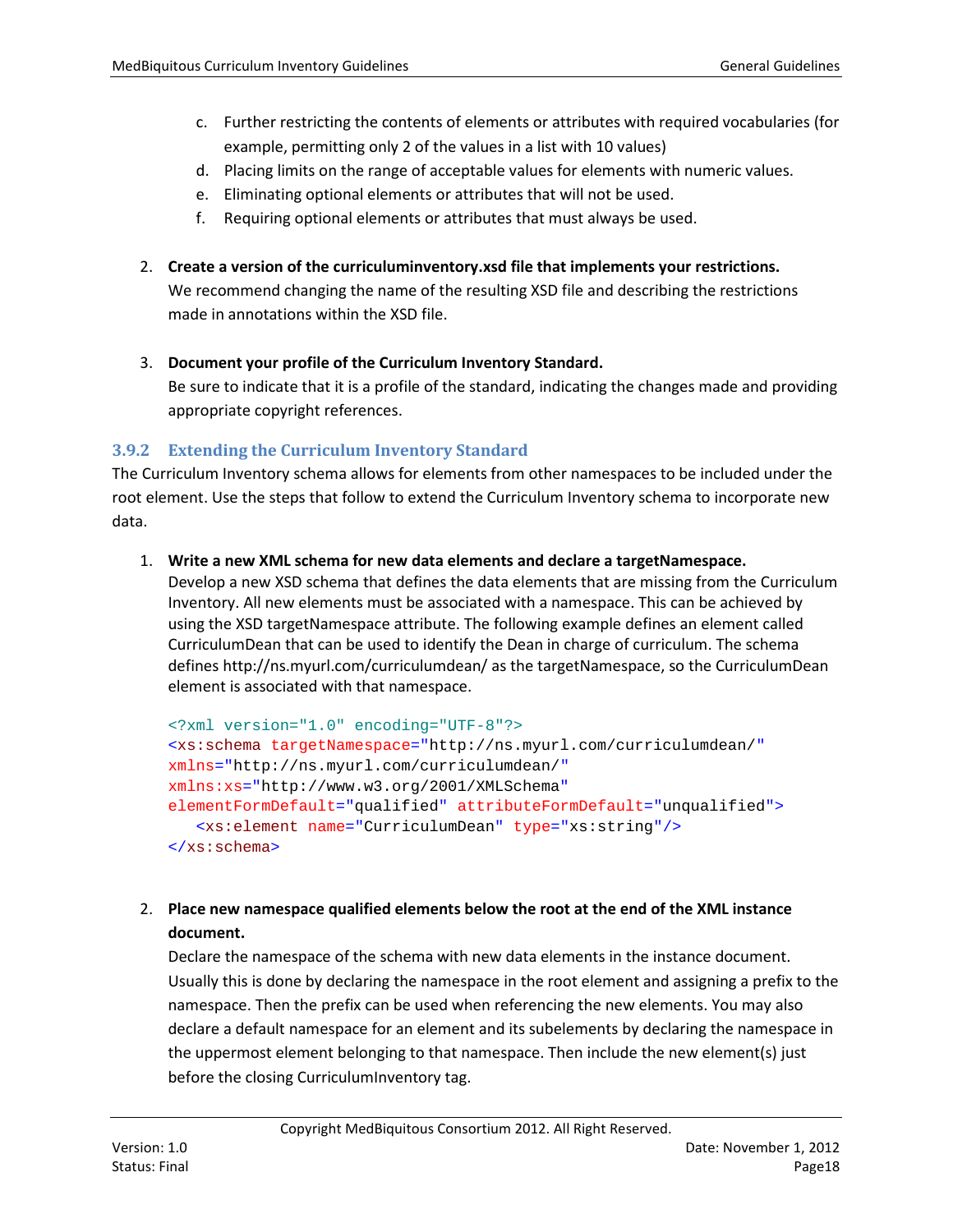- c. Further restricting the contents of elements or attributes with required vocabularies (for example, permitting only 2 of the values in a list with 10 values)
- d. Placing limits on the range of acceptable values for elements with numeric values.
- e. Eliminating optional elements or attributes that will not be used.
- f. Requiring optional elements or attributes that must always be used.
- 2. **Create a version of the curriculuminventory.xsd file that implements your restrictions.**

We recommend changing the name of the resulting XSD file and describing the restrictions made in annotations within the XSD file.

3. **Document your profile of the Curriculum Inventory Standard.** 

Be sure to indicate that it is a profile of the standard, indicating the changes made and providing appropriate copyright references.

#### <span id="page-17-0"></span>**3.9.2 Extending the Curriculum Inventory Standard**

The Curriculum Inventory schema allows for elements from other namespaces to be included under the root element. Use the steps that follow to extend the Curriculum Inventory schema to incorporate new data.

#### 1. **Write a new XML schema for new data elements and declare a targetNamespace.**

Develop a new XSD schema that defines the data elements that are missing from the Curriculum Inventory. All new elements must be associated with a namespace. This can be achieved by using the XSD targetNamespace attribute. The following example defines an element called CurriculumDean that can be used to identify the Dean in charge of curriculum. The schema defines http://ns.myurl.com/curriculumdean/ as the targetNamespace, so the CurriculumDean element is associated with that namespace.

```
<?xml version="1.0" encoding="UTF-8"?>
<xs:schema targetNamespace="http://ns.myurl.com/curriculumdean/"
xmlns="http://ns.myurl.com/curriculumdean/"
xmlns:xs="http://www.w3.org/2001/XMLSchema"
elementFormDefault="qualified" attributeFormDefault="unqualified">
   <xs:element name="CurriculumDean" type="xs:string"/>
</xs:schema>
```
#### 2. **Place new namespace qualified elements below the root at the end of the XML instance document.**

Declare the namespace of the schema with new data elements in the instance document. Usually this is done by declaring the namespace in the root element and assigning a prefix to the namespace. Then the prefix can be used when referencing the new elements. You may also declare a default namespace for an element and its subelements by declaring the namespace in the uppermost element belonging to that namespace. Then include the new element(s) just before the closing CurriculumInventory tag.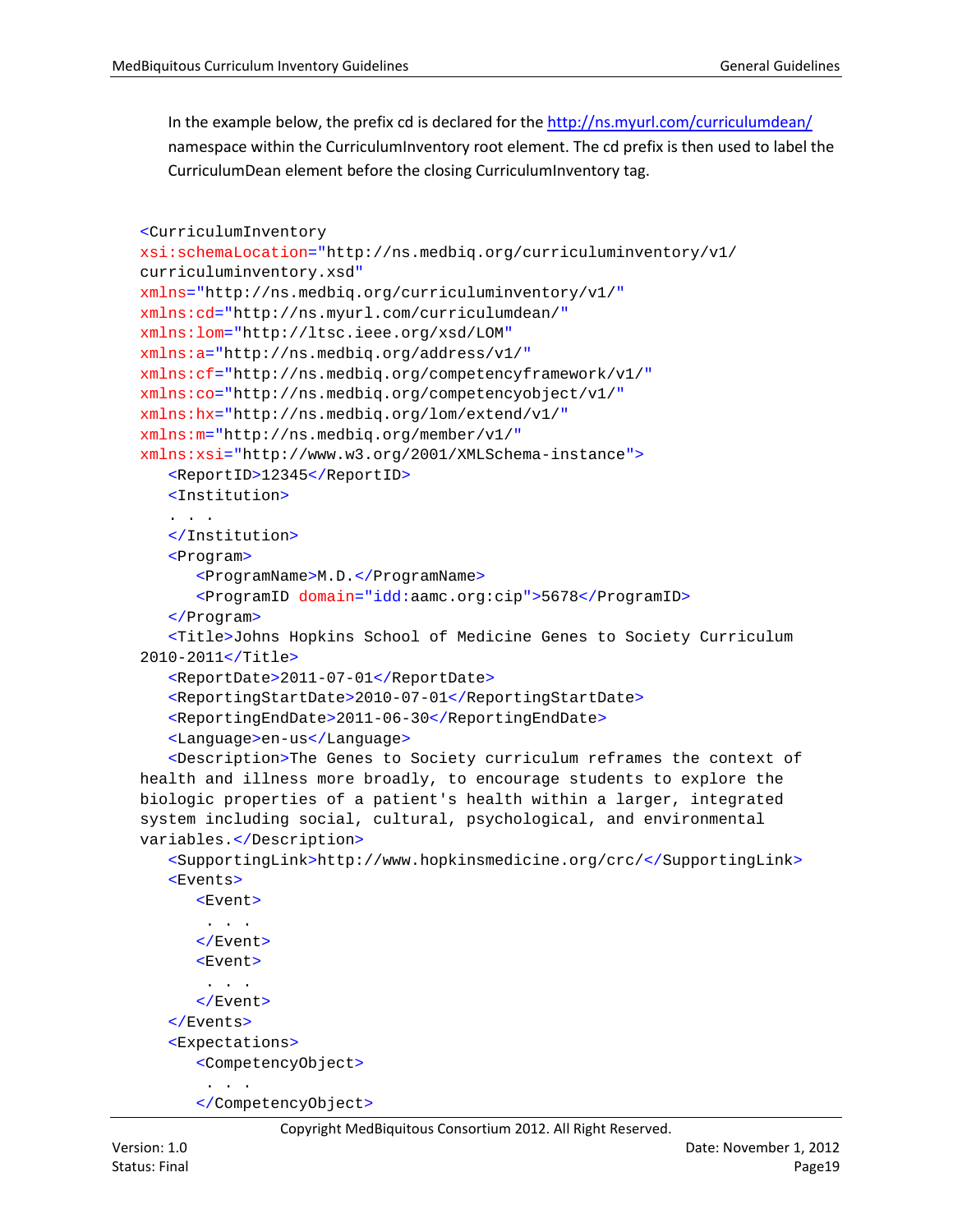In the example below, the prefix cd is declared for th[e http://ns.myurl.com/curriculumdean/](http://ns.myurl.com/curriculumdean/) namespace within the CurriculumInventory root element. The cd prefix is then used to label the CurriculumDean element before the closing CurriculumInventory tag.

```
<CurriculumInventory
xsi:schemaLocation="http://ns.medbiq.org/curriculuminventory/v1/ 
curriculuminventory.xsd"
xmlns="http://ns.medbiq.org/curriculuminventory/v1/"
xmlns:cd="http://ns.myurl.com/curriculumdean/"
xmlns:lom="http://ltsc.ieee.org/xsd/LOM"
xmlns:a="http://ns.medbiq.org/address/v1/"
xmlns:cf="http://ns.medbiq.org/competencyframework/v1/"
xmlns:co="http://ns.medbiq.org/competencyobject/v1/"
xmlns:hx="http://ns.medbiq.org/lom/extend/v1/"
xmlns:m="http://ns.medbiq.org/member/v1/"
xmlns:xsi="http://www.w3.org/2001/XMLSchema-instance">
   <ReportID>12345</ReportID>
   <Institution>
   . . .
   </Institution>
   <Program>
      <ProgramName>M.D.</ProgramName>
      <ProgramID domain="idd:aamc.org:cip">5678</ProgramID>
   </Program>
   <Title>Johns Hopkins School of Medicine Genes to Society Curriculum 
2010-2011</Title>
   <ReportDate>2011-07-01</ReportDate>
   <ReportingStartDate>2010-07-01</ReportingStartDate>
   <ReportingEndDate>2011-06-30</ReportingEndDate>
   <Language>en-us</Language>
   <Description>The Genes to Society curriculum reframes the context of 
health and illness more broadly, to encourage students to explore the 
biologic properties of a patient's health within a larger, integrated 
system including social, cultural, psychological, and environmental 
variables.</Description>
   <SupportingLink>http://www.hopkinsmedicine.org/crc/</SupportingLink>
   <Events>
      \timesEvent >. . .
      </Event>
      <Event>
       . . .
      </Event>
   </Events>
   <Expectations>
      <CompetencyObject>
       . . .
      </CompetencyObject>
```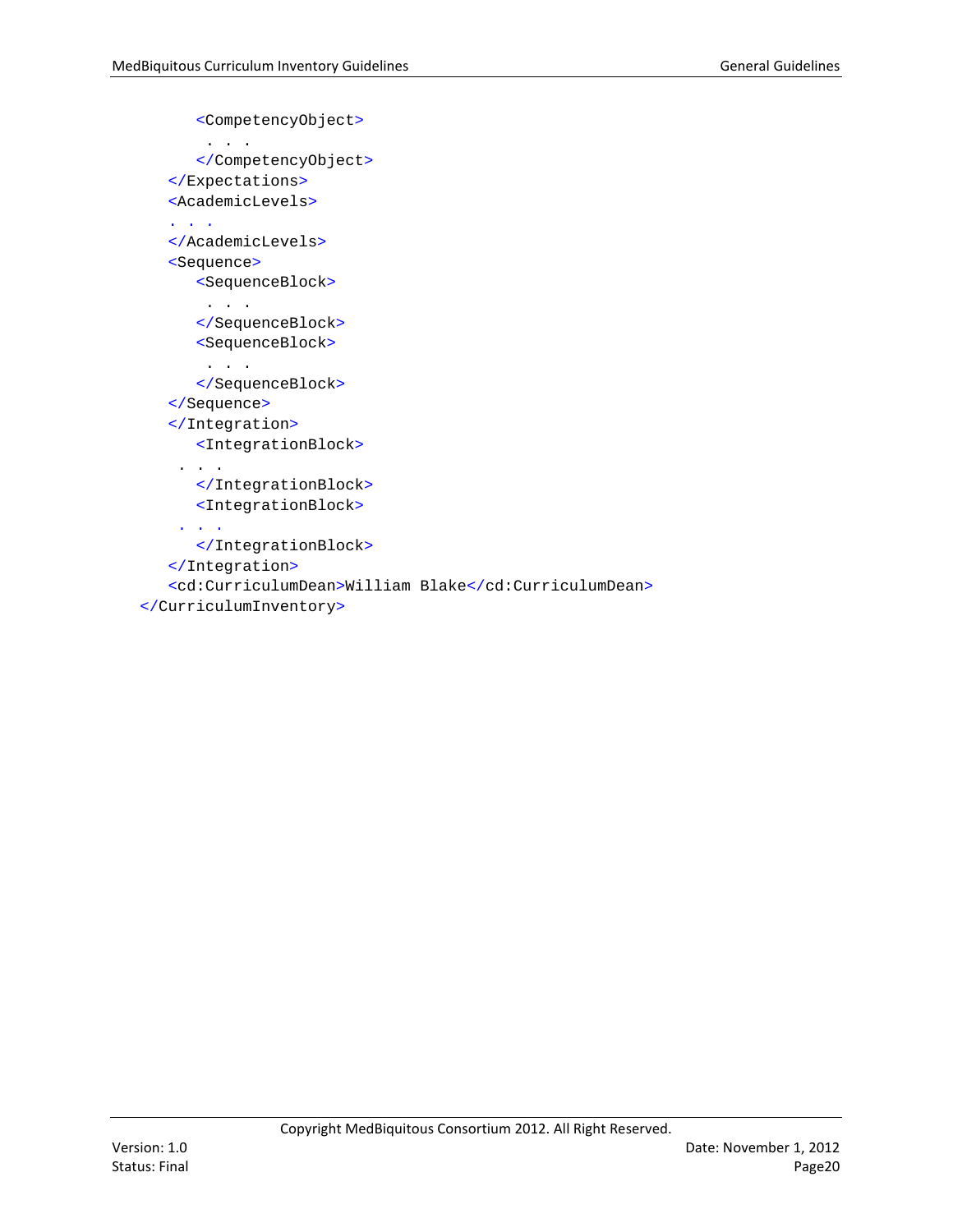```
<CompetencyObject>
       . . .
      </CompetencyObject>
   </Expectations>
   <AcademicLevels>
   . . .
   </AcademicLevels>
   <Sequence>
      <SequenceBlock>
       . . .
      </SequenceBlock>
      <SequenceBlock>
       . . .
      </SequenceBlock>
   </Sequence>
   </Integration>
      <IntegrationBlock>
    . . .
      </IntegrationBlock>
      <IntegrationBlock>
    . . .
      </IntegrationBlock>
   </Integration>
   <cd:CurriculumDean>William Blake</cd:CurriculumDean>
</CurriculumInventory>
```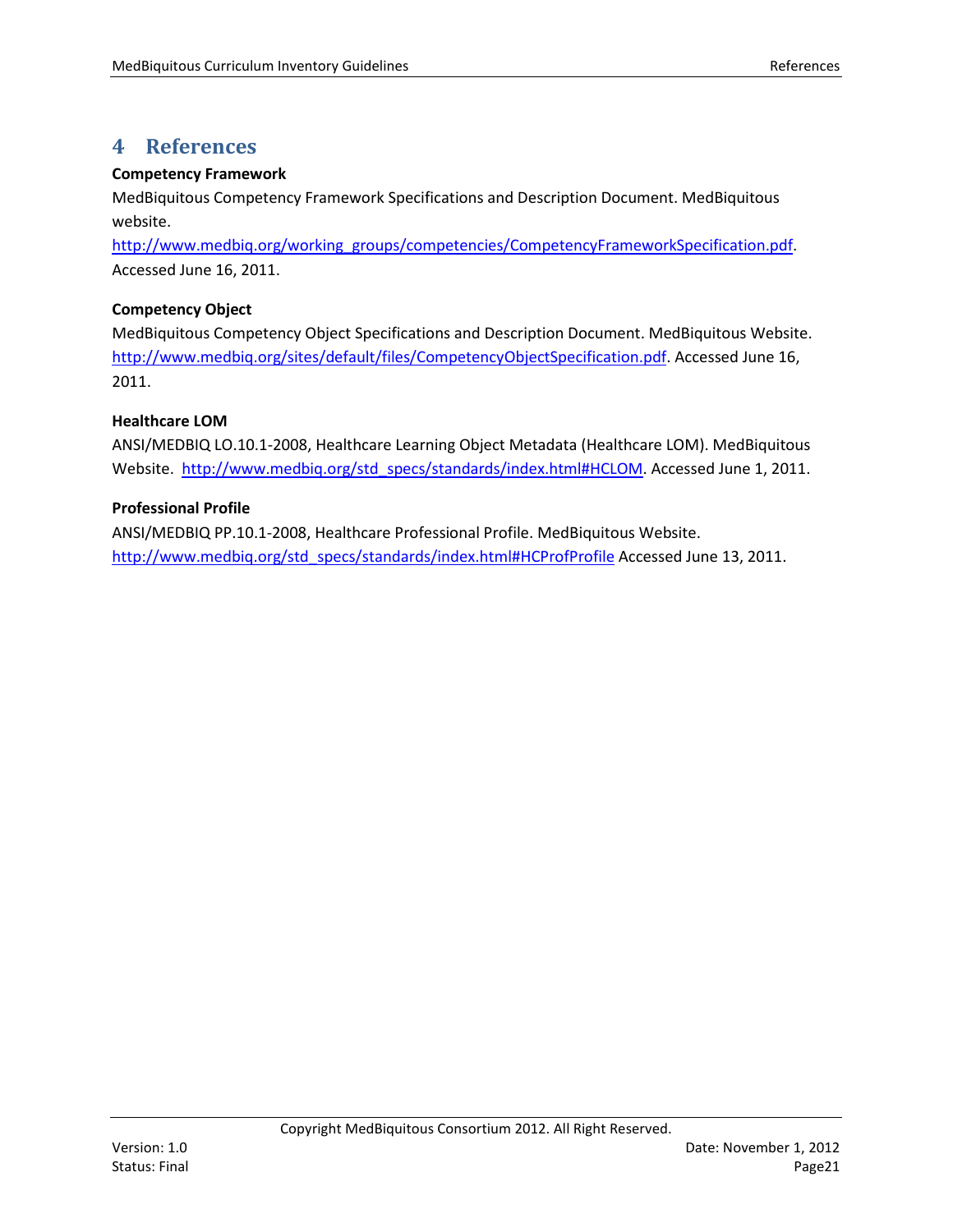# <span id="page-20-0"></span>**4 References**

#### **Competency Framework**

MedBiquitous Competency Framework Specifications and Description Document. MedBiquitous website.

[http://www.medbiq.org/working\\_groups/competencies/CompetencyFrameworkSpecification.pdf.](http://www.medbiq.org/working_groups/competencies/CompetencyFrameworkSpecification.pdf) Accessed June 16, 2011.

#### **Competency Object**

MedBiquitous Competency Object Specifications and Description Document. MedBiquitous Website. [http://www.medbiq.org/sites/default/files/CompetencyObjectSpecification.pdf.](http://www.medbiq.org/sites/default/files/CompetencyObjectSpecification.pdf) Accessed June 16, 2011.

## **Healthcare LOM**

ANSI/MEDBIQ LO.10.1-2008, Healthcare Learning Object Metadata (Healthcare LOM). MedBiquitous Website. [http://www.medbiq.org/std\\_specs/standards/index.html#HCLOM.](http://www.medbiq.org/std_specs/standards/index.html#HCLOM) Accessed June 1, 2011.

## **Professional Profile**

ANSI/MEDBIQ PP.10.1-2008, Healthcare Professional Profile. MedBiquitous Website. [http://www.medbiq.org/std\\_specs/standards/index.html#HCProfProfile](http://www.medbiq.org/std_specs/standards/index.html#HCProfProfile) Accessed June 13, 2011.